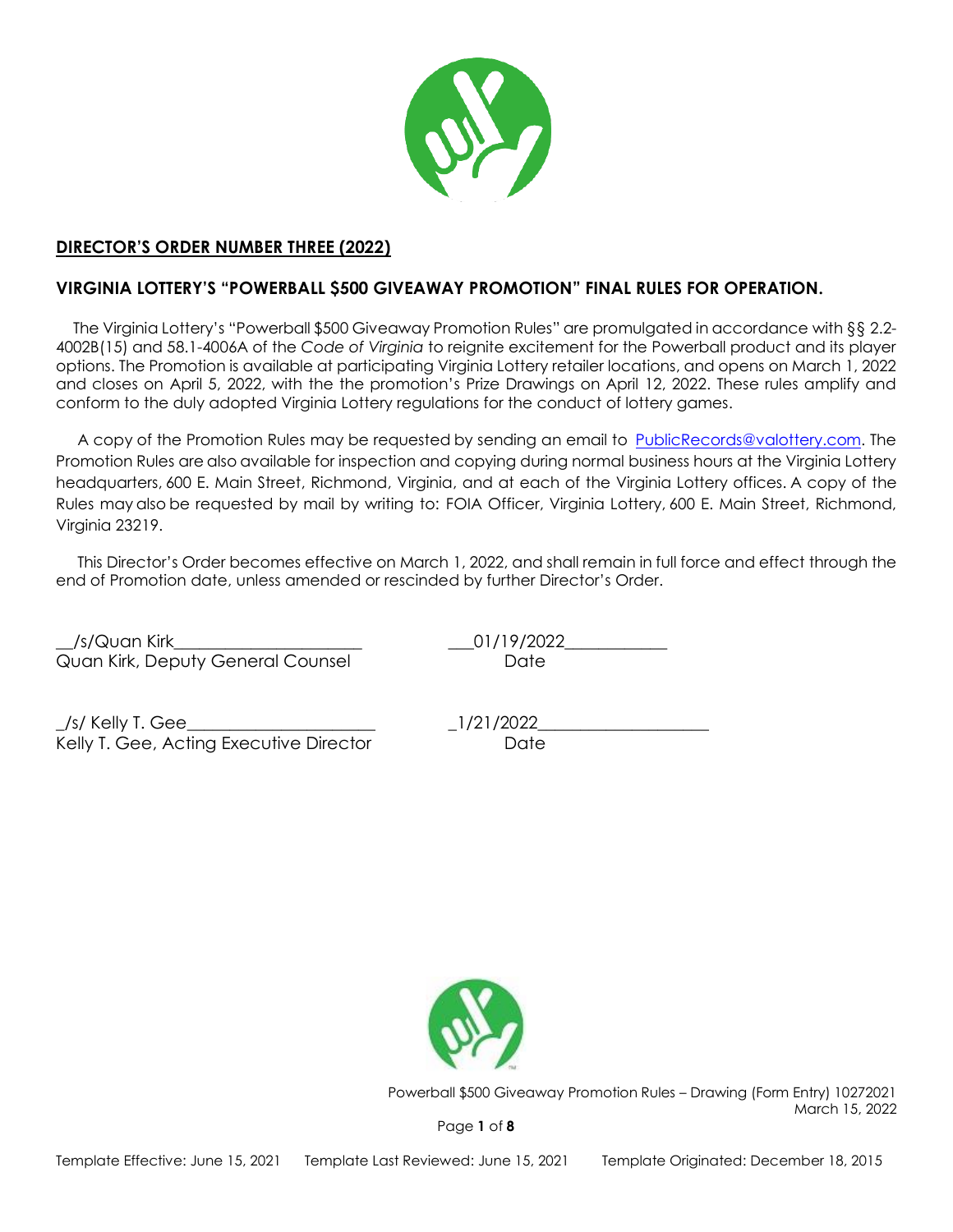

# **DIRECTOR'S ORDER NUMBER THREE (2022)**

# **VIRGINIA LOTTERY'S "POWERBALL \$500 GIVEAWAY PROMOTION" FINAL RULES FOR OPERATION.**

 The Virginia Lottery's "Powerball \$500 Giveaway Promotion Rules" are promulgated in accordance with §§ 2.2- 4002B(15) and 58.1-4006A of the *Code of Virginia* to reignite excitement for the Powerball product and its player options. The Promotion is available at participating Virginia Lottery retailer locations, and opens on March 1, 2022 and closes on April 5, 2022, with the the promotion's Prize Drawings on April 12, 2022. These rules amplify and conform to the duly adopted Virginia Lottery regulations for the conduct of lottery games.

 A copy of the Promotion Rules may be requested by sending an email to [PublicRecords@valottery.com.](mailto:PublicRecords@valottery.com) The Promotion Rules are also available for inspection and copying during normal business hours at the Virginia Lottery headquarters, 600 E. Main Street, Richmond, Virginia, and at each of the Virginia Lottery offices. A copy of the Rules may also be requested by mail by writing to:  FOIA Officer, Virginia Lottery, 600 E. Main Street, Richmond, Virginia 23219.

 This Director's Order becomes effective on March 1, 2022, and shall remain in full force and effect through the end of Promotion date, unless amended or rescinded by further Director's Order.

\_\_/s/Quan Kirk\_\_\_\_\_\_\_\_\_\_\_\_\_\_\_\_\_\_\_\_\_\_ \_\_\_01/19/2022\_\_\_\_\_\_\_\_\_\_\_\_ Quan Kirk, Deputy General Counsel **Date** Date

\_/s/ Kelly T. Gee\_\_\_\_\_\_\_\_\_\_\_\_\_\_\_\_\_\_\_\_\_\_ \_1/21/2022\_\_\_\_\_\_\_\_\_\_\_\_\_\_\_\_\_\_\_\_ Kelly T. Gee, Acting Executive Director Date



Powerball \$500 Giveaway Promotion Rules – Drawing (Form Entry) 10272021 March 15, 2022

Page **1** of **8**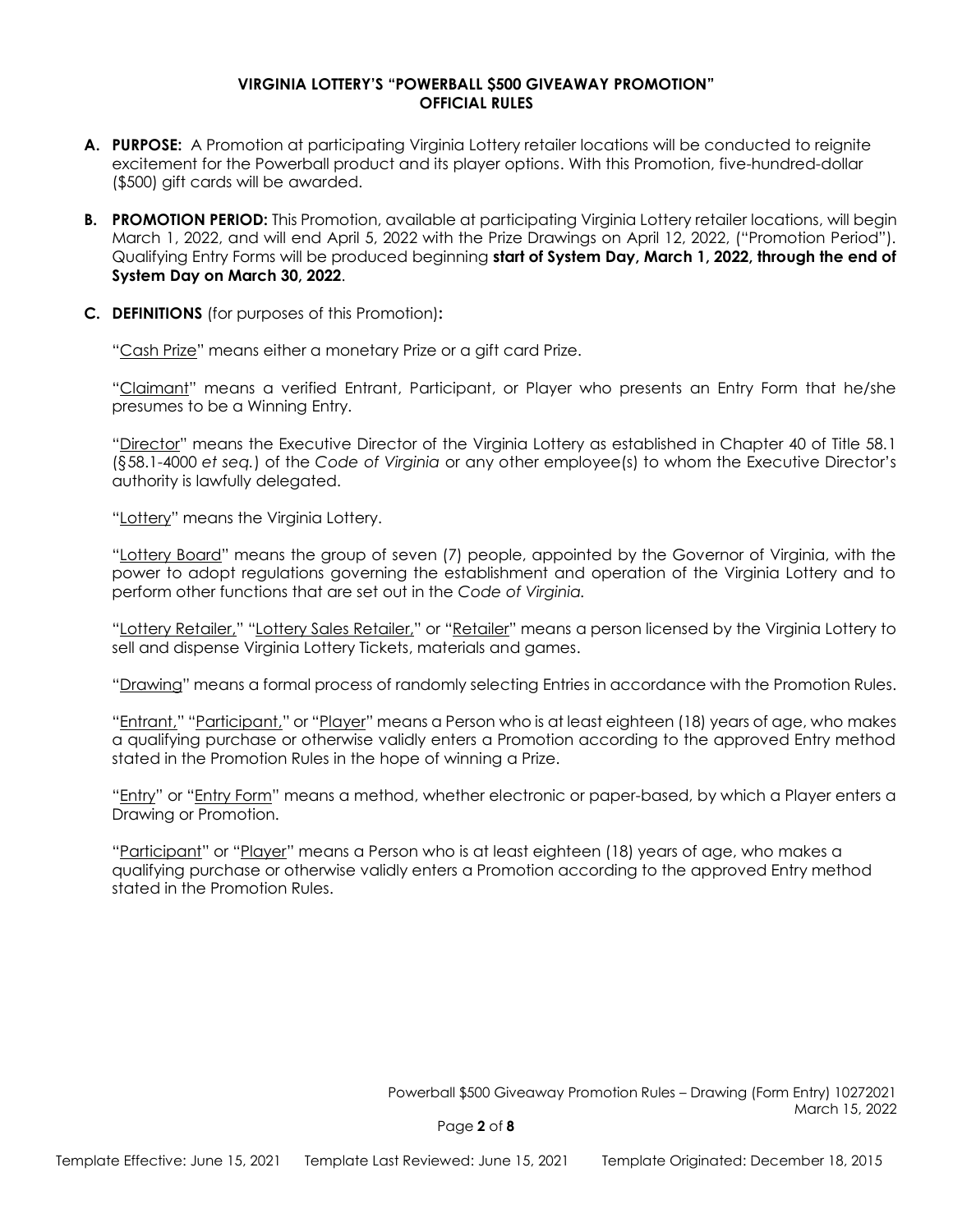#### **VIRGINIA LOTTERY'S "POWERBALL \$500 GIVEAWAY PROMOTION" OFFICIAL RULES**

- **A. PURPOSE:** A Promotion at participating Virginia Lottery retailer locations will be conducted to reignite excitement for the Powerball product and its player options. With this Promotion, five-hundred-dollar (\$500) gift cards will be awarded.
- **B. PROMOTION PERIOD:** This Promotion, available at participating Virginia Lottery retailer locations, will begin March 1, 2022, and will end April 5, 2022 with the Prize Drawings on April 12, 2022, ("Promotion Period"). Qualifying Entry Forms will be produced beginning **start of System Day, March 1, 2022, through the end of System Day on March 30, 2022**.
- **C. DEFINITIONS** (for purposes of this Promotion)**:**

"Cash Prize" means either a monetary Prize or a gift card Prize.

"Claimant" means a verified Entrant, Participant, or Player who presents an Entry Form that he/she presumes to be a Winning Entry.

"Director" means the Executive Director of the Virginia Lottery as established in Chapter 40 of Title 58.1 (§58.1-4000 *et seq.*) of the *Code of Virginia* or any other employee(s) to whom the Executive Director's authority is lawfully delegated.

"Lottery" means the Virginia Lottery.

"Lottery Board" means the group of seven (7) people, appointed by the Governor of Virginia, with the power to adopt regulations governing the establishment and operation of the Virginia Lottery and to perform other functions that are set out in the *Code of Virginia.*

"Lottery Retailer," "Lottery Sales Retailer," or "Retailer" means a person licensed by the Virginia Lottery to sell and dispense Virginia Lottery Tickets, materials and games.

"Drawing" means a formal process of randomly selecting Entries in accordance with the Promotion Rules.

"Entrant," "Participant," or "Player" means a Person who is at least eighteen (18) years of age, who makes a qualifying purchase or otherwise validly enters a Promotion according to the approved Entry method stated in the Promotion Rules in the hope of winning a Prize.

"Entry" or "Entry Form" means a method, whether electronic or paper-based, by which a Player enters a Drawing or Promotion.

"Participant" or "Player" means a Person who is at least eighteen (18) years of age, who makes a qualifying purchase or otherwise validly enters a Promotion according to the approved Entry method stated in the Promotion Rules.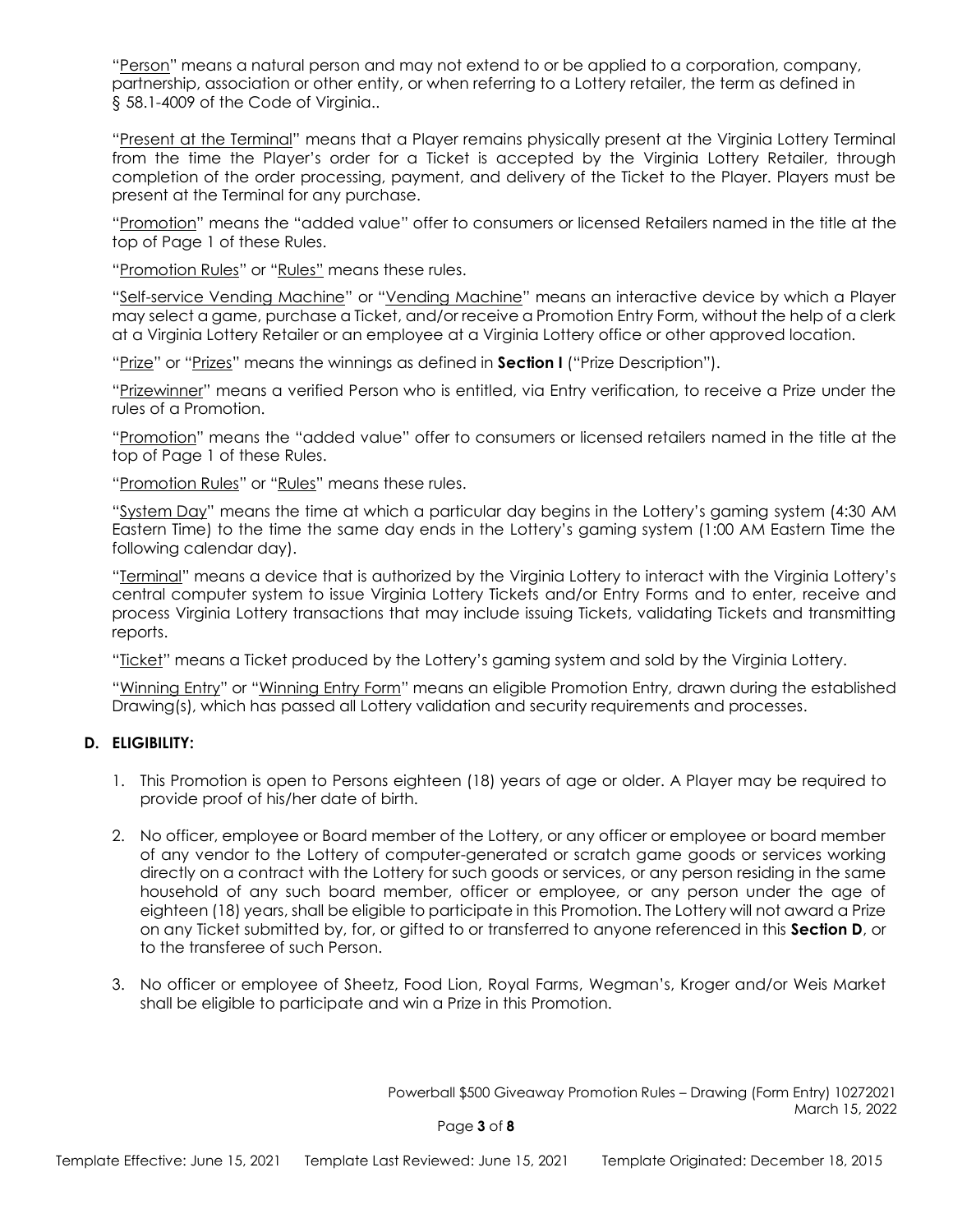"Person" means a natural person and may not extend to or be applied to a corporation, company, partnership, association or other entity, or when referring to a Lottery retailer, the term as defined in § 58.1-4009 of the Code of Virginia..

"Present at the Terminal" means that a Player remains physically present at the Virginia Lottery Terminal from the time the Player's order for a Ticket is accepted by the Virginia Lottery Retailer, through completion of the order processing, payment, and delivery of the Ticket to the Player. Players must be present at the Terminal for any purchase.

"Promotion" means the "added value" offer to consumers or licensed Retailers named in the title at the top of Page 1 of these Rules.

"Promotion Rules" or "Rules" means these rules.

"Self-service Vending Machine" or "Vending Machine" means an interactive device by which a Player may select a game, purchase a Ticket, and/or receive a Promotion Entry Form, without the help of a clerk at a Virginia Lottery Retailer or an employee at a Virginia Lottery office or other approved location.

"Prize" or "Prizes" means the winnings as defined in **Section I** ("Prize Description").

"Prizewinner" means a verified Person who is entitled, via Entry verification, to receive a Prize under the rules of a Promotion.

"Promotion" means the "added value" offer to consumers or licensed retailers named in the title at the top of Page 1 of these Rules.

"Promotion Rules" or "Rules" means these rules.

"System Day" means the time at which a particular day begins in the Lottery's gaming system (4:30 AM Eastern Time) to the time the same day ends in the Lottery's gaming system (1:00 AM Eastern Time the following calendar day).

"Terminal" means a device that is authorized by the Virginia Lottery to interact with the Virginia Lottery's central computer system to issue Virginia Lottery Tickets and/or Entry Forms and to enter, receive and process Virginia Lottery transactions that may include issuing Tickets, validating Tickets and transmitting reports.

"Ticket" means a Ticket produced by the Lottery's gaming system and sold by the Virginia Lottery.

"Winning Entry" or "Winning Entry Form" means an eligible Promotion Entry, drawn during the established Drawing(s), which has passed all Lottery validation and security requirements and processes.

### **D. ELIGIBILITY:**

- 1. This Promotion is open to Persons eighteen (18) years of age or older. A Player may be required to provide proof of his/her date of birth.
- 2. No officer, employee or Board member of the Lottery, or any officer or employee or board member of any vendor to the Lottery of computer-generated or scratch game goods or services working directly on a contract with the Lottery for such goods or services, or any person residing in the same household of any such board member, officer or employee, or any person under the age of eighteen (18) years, shall be eligible to participate in this Promotion. The Lottery will not award a Prize on any Ticket submitted by, for, or gifted to or transferred to anyone referenced in this **Section D**, or to the transferee of such Person.
- 3. No officer or employee of Sheetz, Food Lion, Royal Farms, Wegman's, Kroger and/or Weis Market shall be eligible to participate and win a Prize in this Promotion.

Powerball \$500 Giveaway Promotion Rules – Drawing (Form Entry) 10272021 March 15, 2022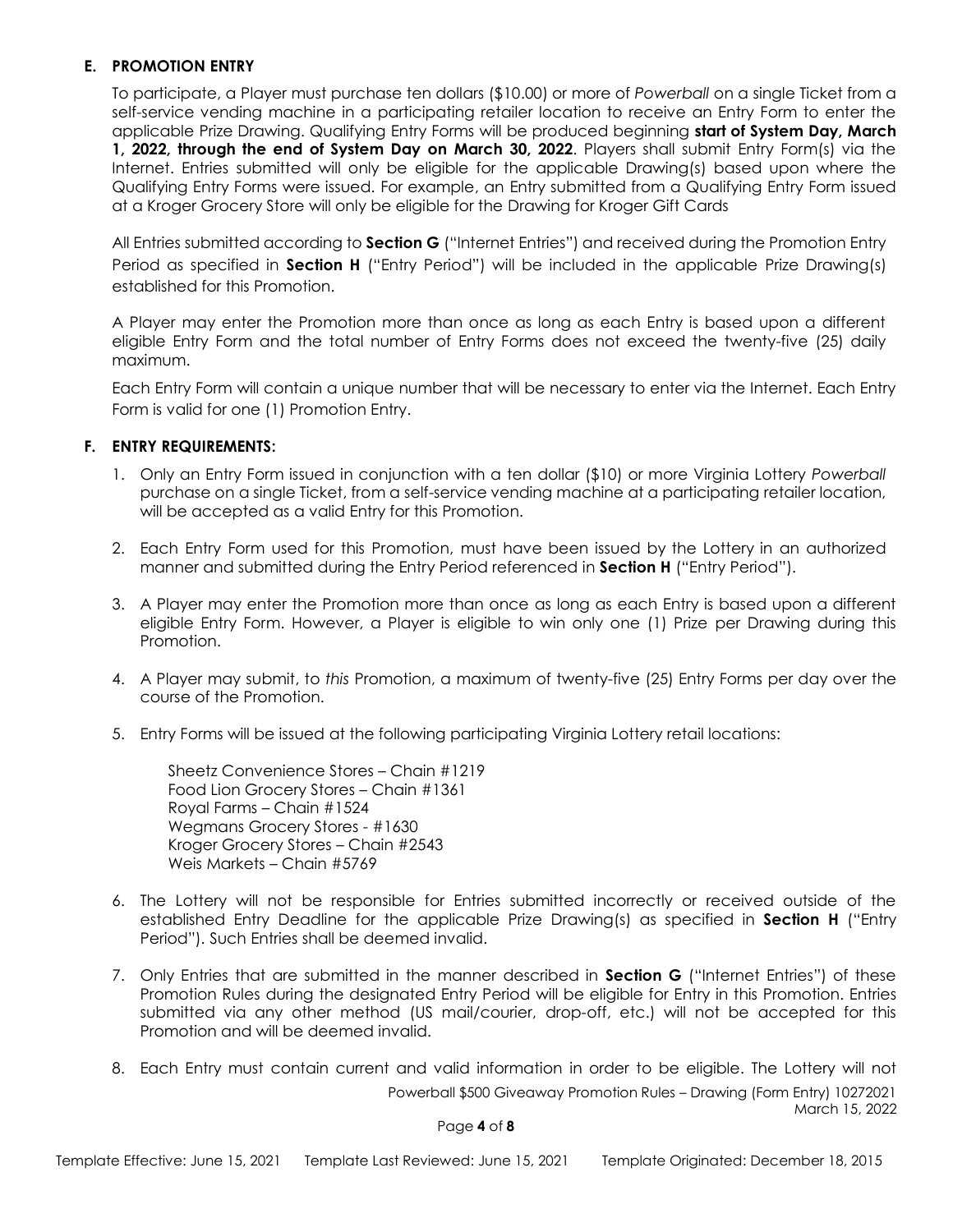### **E. PROMOTION ENTRY**

To participate, a Player must purchase ten dollars (\$10.00) or more of *Powerball* on a single Ticket from a self-service vending machine in a participating retailer location to receive an Entry Form to enter the applicable Prize Drawing. Qualifying Entry Forms will be produced beginning **start of System Day, March 1, 2022, through the end of System Day on March 30, 2022**. Players shall submit Entry Form(s) via the Internet. Entries submitted will only be eligible for the applicable Drawing(s) based upon where the Qualifying Entry Forms were issued. For example, an Entry submitted from a Qualifying Entry Form issued at a Kroger Grocery Store will only be eligible for the Drawing for Kroger Gift Cards

All Entries submitted according to **Section G** ("Internet Entries") and received during the Promotion Entry Period as specified in **Section H** ("Entry Period") will be included in the applicable Prize Drawing(s) established for this Promotion.

A Player may enter the Promotion more than once as long as each Entry is based upon a different eligible Entry Form and the total number of Entry Forms does not exceed the twenty-five (25) daily maximum.

Each Entry Form will contain a unique number that will be necessary to enter via the Internet. Each Entry Form is valid for one (1) Promotion Entry.

### **F. ENTRY REQUIREMENTS:**

- 1. Only an Entry Form issued in conjunction with a ten dollar (\$10) or more Virginia Lottery *Powerball* purchase on a single Ticket, from a self-service vending machine at a participating retailer location, will be accepted as a valid Entry for this Promotion.
- 2. Each Entry Form used for this Promotion, must have been issued by the Lottery in an authorized manner and submitted during the Entry Period referenced in **Section H** ("Entry Period").
- 3. A Player may enter the Promotion more than once as long as each Entry is based upon a different eligible Entry Form. However, a Player is eligible to win only one (1) Prize per Drawing during this Promotion.
- 4. A Player may submit, to *this* Promotion, a maximum of twenty-five (25) Entry Forms per day over the course of the Promotion.
- 5. Entry Forms will be issued at the following participating Virginia Lottery retail locations:

Sheetz Convenience Stores – Chain #1219 Food Lion Grocery Stores – Chain #1361 Royal Farms – Chain #1524 Wegmans Grocery Stores - #1630 Kroger Grocery Stores – Chain #2543 Weis Markets – Chain #5769

- 6. The Lottery will not be responsible for Entries submitted incorrectly or received outside of the established Entry Deadline for the applicable Prize Drawing(s) as specified in **Section H** ("Entry Period"). Such Entries shall be deemed invalid.
- 7. Only Entries that are submitted in the manner described in **Section G** ("Internet Entries") of these Promotion Rules during the designated Entry Period will be eligible for Entry in this Promotion. Entries submitted via any other method (US mail/courier, drop-off, etc.) will not be accepted for this Promotion and will be deemed invalid.
- Powerball \$500 Giveaway Promotion Rules Drawing (Form Entry) 10272021 March 15, 2022 8. Each Entry must contain current and valid information in order to be eligible. The Lottery will not

#### Page **4** of **8**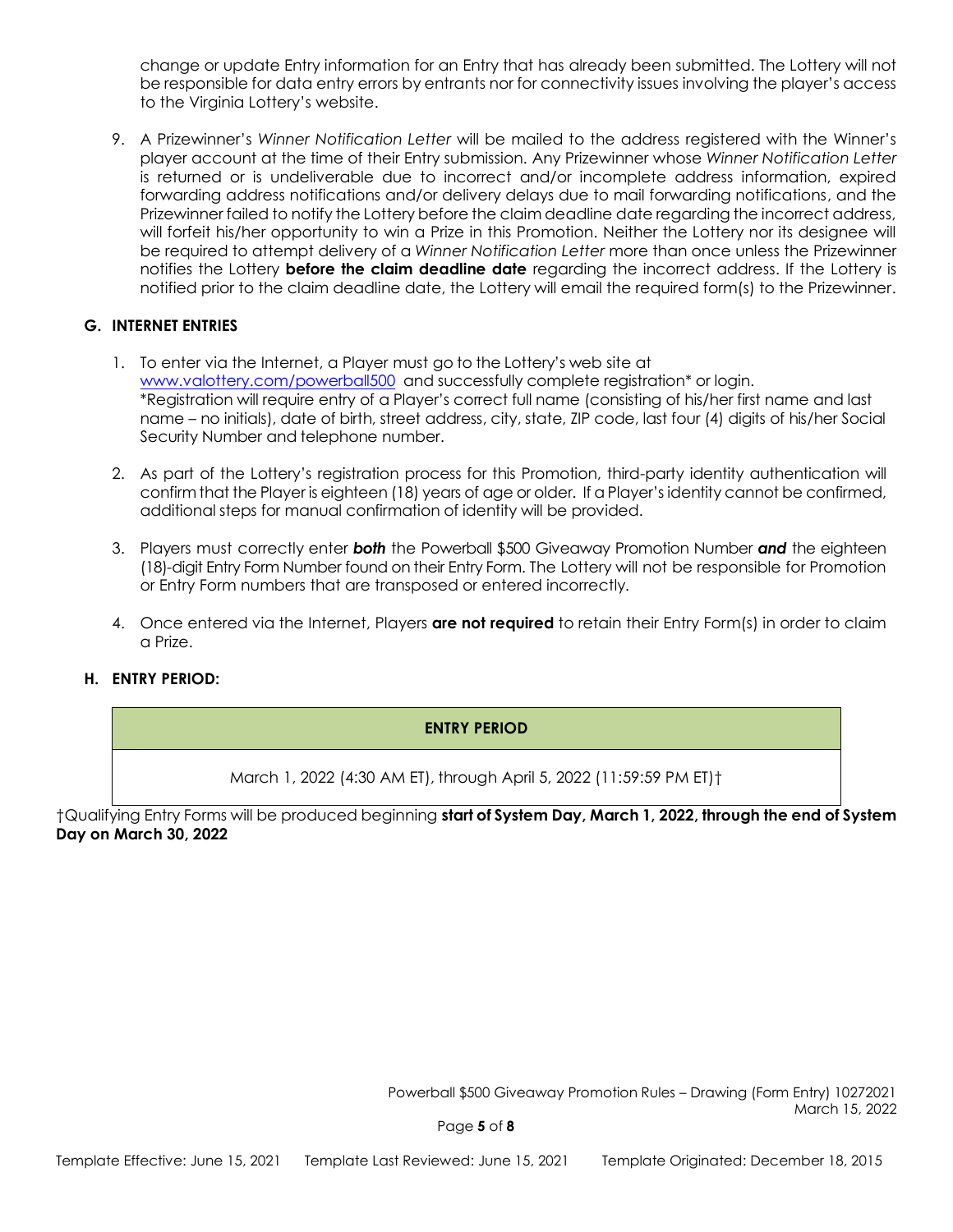change or update Entry information for an Entry that has already been submitted. The Lottery will not be responsible for data entry errors by entrants nor for connectivity issues involving the player's access to the Virginia Lottery's website.

9. A Prizewinner's *Winner Notification Letter* will be mailed to the address registered with the Winner's player account at the time of their Entry submission. Any Prizewinner whose *Winner Notification Letter* is returned or is undeliverable due to incorrect and/or incomplete address information, expired forwarding address notifications and/or delivery delays due to mail forwarding notifications, and the Prizewinner failed to notify the Lottery before the claim deadline date regarding the incorrect address, will forfeit his/her opportunity to win a Prize in this Promotion. Neither the Lottery nor its designee will be required to attempt delivery of a *Winner Notification Letter* more than once unless the Prizewinner notifies the Lottery **before the claim deadline date** regarding the incorrect address. If the Lottery is notified prior to the claim deadline date, the Lottery will email the required form(s) to the Prizewinner.

## **G. INTERNET ENTRIES**

- 1. To enter via the Internet, a Player must go to the Lottery's web site at [www.valottery.com/powerball500](http://www.valottery.com/powerball500) and successfully complete registration\* or login. \*Registration will require entry of a Player's correct full name (consisting of his/her first name and last name – no initials), date of birth, street address, city, state, ZIP code, last four (4) digits of his/her Social Security Number and telephone number.
- 2. As part of the Lottery's registration process for this Promotion, third-party identity authentication will confirm that the Player is eighteen (18) years of age or older. If a Player's identity cannot be confirmed, additional steps for manual confirmation of identity will be provided.
- 3. Players must correctly enter *both* the Powerball \$500 Giveaway Promotion Number *and* the eighteen (18)-digit Entry Form Number found on their Entry Form. The Lottery will not be responsible for Promotion or Entry Form numbers that are transposed or entered incorrectly.
- 4. Once entered via the Internet, Players **are not required** to retain their Entry Form(s) in order to claim a Prize.

# **H. ENTRY PERIOD:**

# **ENTRY PERIOD**

March 1, 2022 (4:30 AM ET), through April 5, 2022 (11:59:59 PM ET)†

†Qualifying Entry Forms will be produced beginning **start of System Day, March 1, 2022, through the end of System Day on March 30, 2022**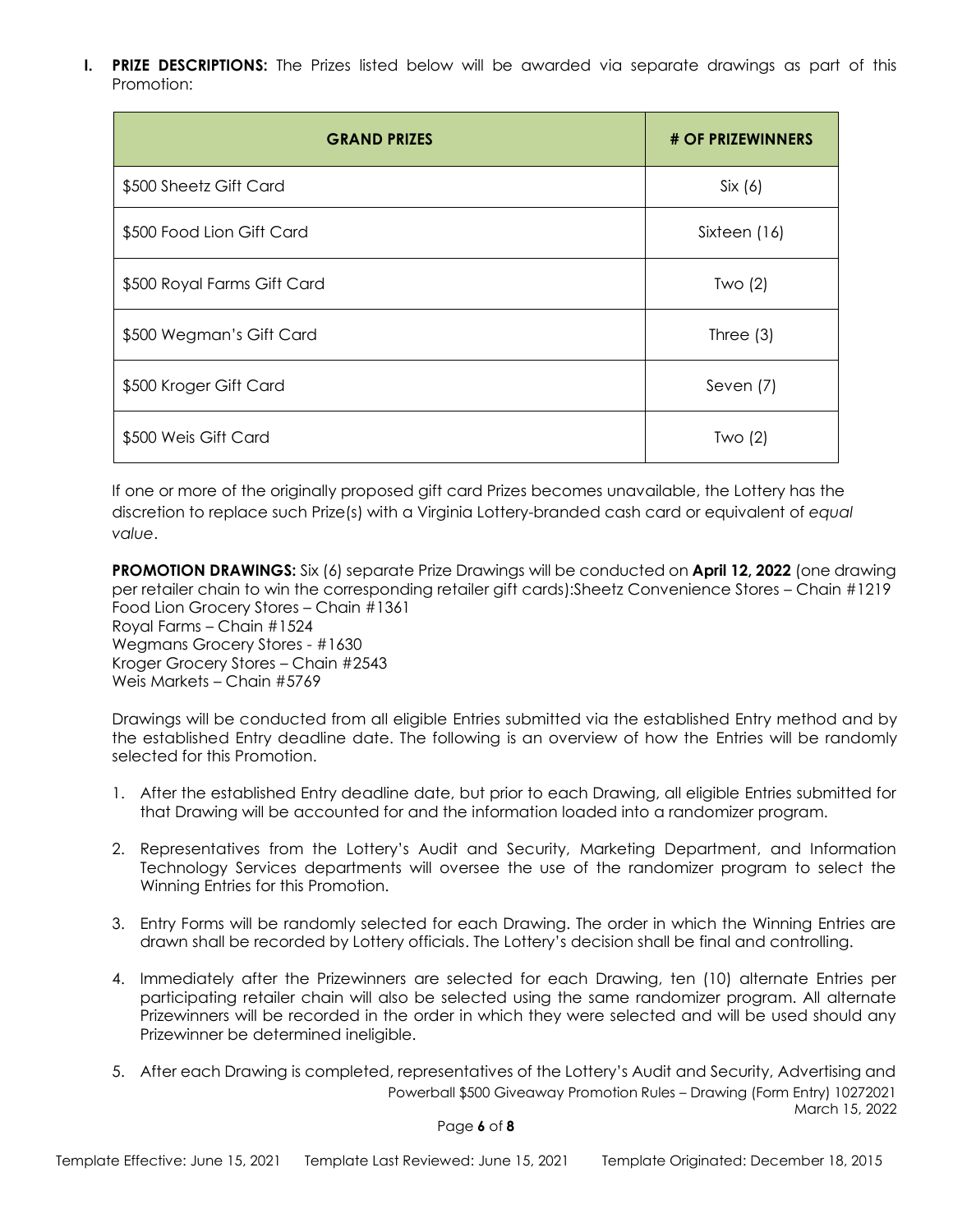**I. PRIZE DESCRIPTIONS:** The Prizes listed below will be awarded via separate drawings as part of this Promotion:

| <b>GRAND PRIZES</b>         | # OF PRIZEWINNERS |
|-----------------------------|-------------------|
| \$500 Sheetz Gift Card      | Six(6)            |
| \$500 Food Lion Gift Card   | Sixteen (16)      |
| \$500 Royal Farms Gift Card | Two $(2)$         |
| \$500 Wegman's Gift Card    | Three $(3)$       |
| \$500 Kroger Gift Card      | Seven (7)         |
| \$500 Weis Gift Card        | Two $(2)$         |

If one or more of the originally proposed gift card Prizes becomes unavailable, the Lottery has the discretion to replace such Prize(s) with a Virginia Lottery-branded cash card or equivalent of *equal value*.

**PROMOTION DRAWINGS:** Six (6) separate Prize Drawings will be conducted on **April 12, 2022** (one drawing per retailer chain to win the corresponding retailer gift cards):Sheetz Convenience Stores – Chain #1219 Food Lion Grocery Stores – Chain #1361 Royal Farms – Chain #1524 Wegmans Grocery Stores - #1630 Kroger Grocery Stores – Chain #2543 Weis Markets – Chain #5769

Drawings will be conducted from all eligible Entries submitted via the established Entry method and by the established Entry deadline date. The following is an overview of how the Entries will be randomly selected for this Promotion.

- 1. After the established Entry deadline date, but prior to each Drawing, all eligible Entries submitted for that Drawing will be accounted for and the information loaded into a randomizer program.
- 2. Representatives from the Lottery's Audit and Security, Marketing Department, and Information Technology Services departments will oversee the use of the randomizer program to select the Winning Entries for this Promotion.
- 3. Entry Forms will be randomly selected for each Drawing. The order in which the Winning Entries are drawn shall be recorded by Lottery officials. The Lottery's decision shall be final and controlling.
- 4. Immediately after the Prizewinners are selected for each Drawing, ten (10) alternate Entries per participating retailer chain will also be selected using the same randomizer program. All alternate Prizewinners will be recorded in the order in which they were selected and will be used should any Prizewinner be determined ineligible.
- Powerball \$500 Giveaway Promotion Rules Drawing (Form Entry) 10272021 March 15, 2022 5. After each Drawing is completed, representatives of the Lottery's Audit and Security, Advertising and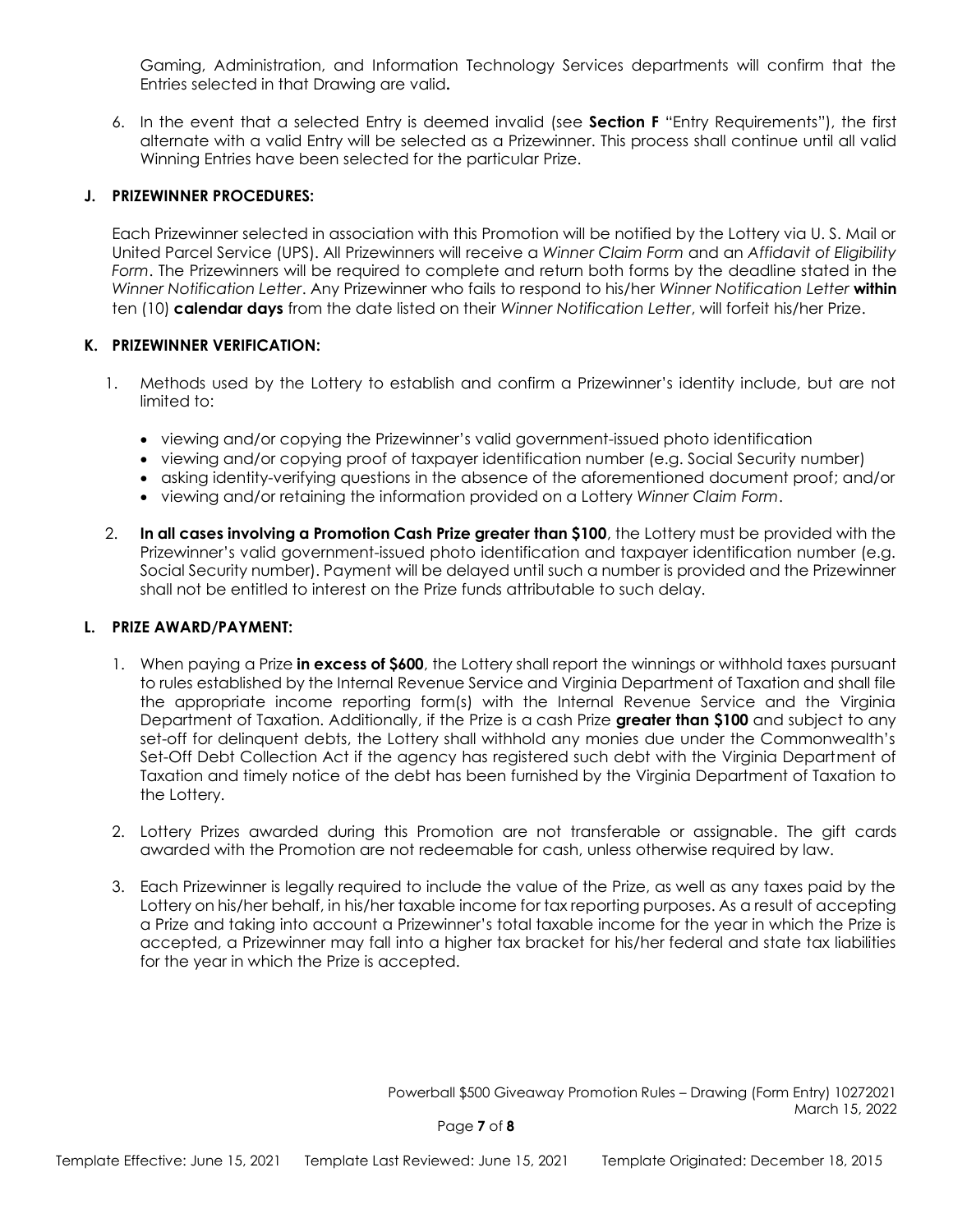Gaming, Administration, and Information Technology Services departments will confirm that the Entries selected in that Drawing are valid**.**

6. In the event that a selected Entry is deemed invalid (see **Section F** "Entry Requirements"), the first alternate with a valid Entry will be selected as a Prizewinner. This process shall continue until all valid Winning Entries have been selected for the particular Prize.

#### **J. PRIZEWINNER PROCEDURES:**

Each Prizewinner selected in association with this Promotion will be notified by the Lottery via U. S. Mail or United Parcel Service (UPS). All Prizewinners will receive a *Winner Claim Form* and an *Affidavit of Eligibility Form*. The Prizewinners will be required to complete and return both forms by the deadline stated in the *Winner Notification Letter*. Any Prizewinner who fails to respond to his/her *Winner Notification Letter* **within**  ten (10) **calendar days** from the date listed on their *Winner Notification Letter*, will forfeit his/her Prize.

#### **K. PRIZEWINNER VERIFICATION:**

- 1. Methods used by the Lottery to establish and confirm a Prizewinner's identity include, but are not limited to:
	- viewing and/or copying the Prizewinner's valid government-issued photo identification
	- viewing and/or copying proof of taxpayer identification number (e.g. Social Security number)
	- asking identity-verifying questions in the absence of the aforementioned document proof; and/or
	- viewing and/or retaining the information provided on a Lottery *Winner Claim Form*.
- 2. **In all cases involving a Promotion Cash Prize greater than \$100**, the Lottery must be provided with the Prizewinner's valid government-issued photo identification and taxpayer identification number (e.g. Social Security number). Payment will be delayed until such a number is provided and the Prizewinner shall not be entitled to interest on the Prize funds attributable to such delay.

#### **L. PRIZE AWARD/PAYMENT:**

- 1. When paying a Prize **in excess of \$600**, the Lottery shall report the winnings or withhold taxes pursuant to rules established by the Internal Revenue Service and Virginia Department of Taxation and shall file the appropriate income reporting form(s) with the Internal Revenue Service and the Virginia Department of Taxation. Additionally, if the Prize is a cash Prize **greater than \$100** and subject to any set-off for delinquent debts, the Lottery shall withhold any monies due under the Commonwealth's Set-Off Debt Collection Act if the agency has registered such debt with the Virginia Department of Taxation and timely notice of the debt has been furnished by the Virginia Department of Taxation to the Lottery.
- 2. Lottery Prizes awarded during this Promotion are not transferable or assignable. The gift cards awarded with the Promotion are not redeemable for cash, unless otherwise required by law.
- 3. Each Prizewinner is legally required to include the value of the Prize, as well as any taxes paid by the Lottery on his/her behalf, in his/her taxable income for tax reporting purposes. As a result of accepting a Prize and taking into account a Prizewinner's total taxable income for the year in which the Prize is accepted, a Prizewinner may fall into a higher tax bracket for his/her federal and state tax liabilities for the year in which the Prize is accepted.